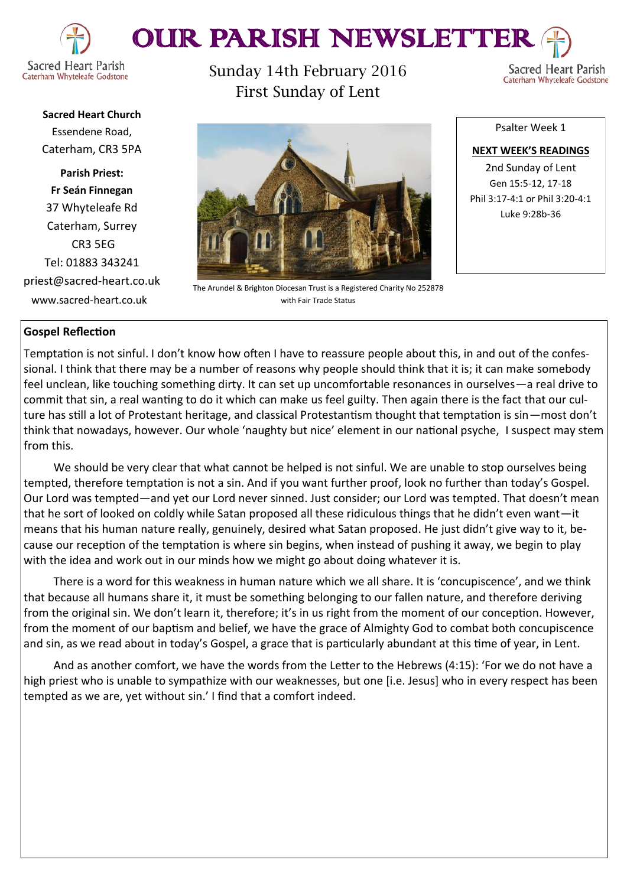

# OUR PARISH NEWSLETTEI

Caterham Whyteleafe Godstone

**Sacred Heart Church** Essendene Road, Caterham, CR3 5PA

**Parish Priest: Fr Seán Finnegan** 37 Whyteleafe Rd Caterham, Surrey CR3 5EG Tel: 01883 343241 priest@sacred-heart.co.uk www.sacred-heart.co.uk

Sunday 14th February 2016 First Sunday of Lent

Sacred Heart Parish Caterham Whyteleafe Godstone



The Arundel & Brighton Diocesan Trust is a Registered Charity No 252878 with Fair Trade Status

Psalter Week 1

**NEXT WEEK'S READINGS** 2nd Sunday of Lent Gen 15:5-12, 17-18 Phil 3:17-4:1 or Phil 3:20-4:1 Luke 9:28b-36

## **Gospel Reflection**

Temptation is not sinful. I don't know how often I have to reassure people about this, in and out of the confessional. I think that there may be a number of reasons why people should think that it is; it can make somebody feel unclean, like touching something dirty. It can set up uncomfortable resonances in ourselves—a real drive to commit that sin, a real wanting to do it which can make us feel guilty. Then again there is the fact that our culture has still a lot of Protestant heritage, and classical Protestantism thought that temptation is sin—most don't think that nowadays, however. Our whole 'naughty but nice' element in our national psyche, I suspect may stem from this.

We should be very clear that what cannot be helped is not sinful. We are unable to stop ourselves being tempted, therefore temptation is not a sin. And if you want further proof, look no further than today's Gospel. Our Lord was tempted—and yet our Lord never sinned. Just consider; our Lord was tempted. That doesn't mean that he sort of looked on coldly while Satan proposed all these ridiculous things that he didn't even want—it means that his human nature really, genuinely, desired what Satan proposed. He just didn't give way to it, because our reception of the temptation is where sin begins, when instead of pushing it away, we begin to play with the idea and work out in our minds how we might go about doing whatever it is.

There is a word for this weakness in human nature which we all share. It is 'concupiscence', and we think that because all humans share it, it must be something belonging to our fallen nature, and therefore deriving from the original sin. We don't learn it, therefore; it's in us right from the moment of our conception. However, from the moment of our baptism and belief, we have the grace of Almighty God to combat both concupiscence and sin, as we read about in today's Gospel, a grace that is particularly abundant at this time of year, in Lent.

And as another comfort, we have the words from the Letter to the Hebrews (4:15): 'For we do not have a high priest who is unable to sympathize with our weaknesses, but one [i.e. Jesus] who in every respect has been tempted as we are, yet without sin.' I find that a comfort indeed.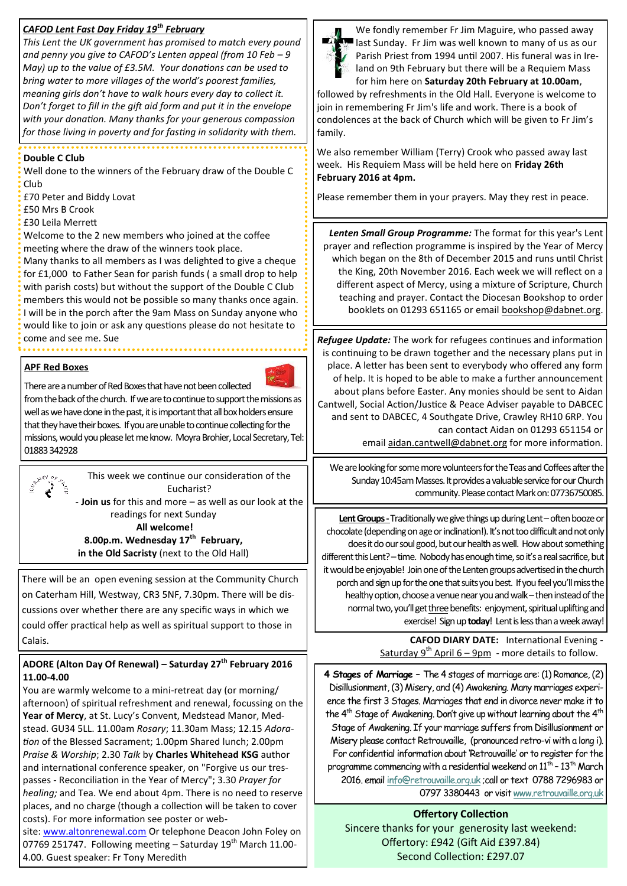## *CAFOD Lent Fast Day Friday 19th February*

*This Lent the UK government has promised to match every pound and penny you give to CAFOD's Lenten appeal (from 10 Feb – 9 May) up to the value of £3.5M. Your donations can be used to bring water to more villages of the world's poorest families, meaning girls don't have to walk hours every day to collect it. Don't forget to fill in the gift aid form and put it in the envelope with your donation. Many thanks for your generous compassion for those living in poverty and for fasting in solidarity with them.* 

#### **Double C Club**

Well done to the winners of the February draw of the Double C Club

£70 Peter and Biddy Lovat

£50 Mrs B Crook

£30 Leila Merrett

Welcome to the 2 new members who joined at the coffee meeting where the draw of the winners took place.

Many thanks to all members as I was delighted to give a cheque for £1,000 to Father Sean for parish funds ( a small drop to help with parish costs) but without the support of the Double C Club members this would not be possible so many thanks once again. I will be in the porch after the 9am Mass on Sunday anyone who would like to join or ask any questions please do not hesitate to come and see me. Sue

#### **APF Red Boxes**



There are a number of Red Boxes that have not been collected from the back of the church. If we are to continue to support the missions as well as we have done in the past, it is important that all box holders ensure that they have their boxes. If you are unable to continue collecting for the missions, would you please let me know. Moyra Brohier, Local Secretary, Tel: 01883 342928



This week we continue our consideration of the Eucharist?

- **Join us** for this and more – as well as our look at the readings for next Sunday

**All welcome! 8.00p.m. Wednesday 17th February, in the Old Sacristy** (next to the Old Hall)

There will be an open evening session at the Community Church on Caterham Hill, Westway, CR3 5NF, 7.30pm. There will be discussions over whether there are any specific ways in which we could offer practical help as well as spiritual support to those in Calais.

#### **ADORE (Alton Day Of Renewal) – Saturday 27th February 2016 11.00-4.00**

You are warmly welcome to a mini-retreat day (or morning/ afternoon) of spiritual refreshment and renewal, focussing on the **Year of Mercy**, at St. Lucy's Convent, Medstead Manor, Medstead. GU34 5LL. 11.00am *Rosary*; 11.30am Mass; 12.15 *Adoration* of the Blessed Sacrament; 1.00pm Shared lunch; 2.00pm *Praise & Worship*; 2.30 *Talk* by **Charles Whitehead KSG** author and international conference speaker, on "Forgive us our trespasses - Reconciliation in the Year of Mercy"; 3.30 *Prayer for healing;* and Tea. We end about 4pm. There is no need to reserve places, and no charge (though a collection will be taken to cover costs). For more information see poster or web-

site: [www.altonrenewal.com](http://www.altonrenewal.com/) Or telephone Deacon John Foley on 07769 251747. Following meeting - Saturday 19<sup>th</sup> March 11.00-4.00. Guest speaker: Fr Tony Meredith



We fondly remember Fr Jim Maguire, who passed away last Sunday. Fr Jim was well known to many of us as our Parish Priest from 1994 until 2007. His funeral was in Ireland on 9th February but there will be a Requiem Mass for him here on **Saturday 20th February at 10.00am**,

followed by refreshments in the Old Hall. Everyone is welcome to join in remembering Fr Jim's life and work. There is a book of condolences at the back of Church which will be given to Fr Jim's family.

We also remember William (Terry) Crook who passed away last week. His Requiem Mass will be held here on **Friday 26th February 2016 at 4pm.** 

Please remember them in your prayers. May they rest in peace.

*Lenten Small Group Programme:* The format for this year's Lent prayer and reflection programme is inspired by the Year of Mercy which began on the 8th of December 2015 and runs until Christ the King, 20th November 2016. Each week we will reflect on a different aspect of Mercy, using a mixture of Scripture, Church teaching and prayer. Contact the Diocesan Bookshop to order booklets on 01293 651165 or email [bookshop@dabnet.org.](mailto:bookshop@dabnet.org?subject=Lenten%20Small%20Group%20booklets)

*Refugee Update:* The work for refugees continues and information is continuing to be drawn together and the necessary plans put in place. A letter has been sent to everybody who offered any form of help. It is hoped to be able to make a further announcement about plans before Easter. Any monies should be sent to Aidan Cantwell, Social Action/Justice & Peace Adviser payable to DABCEC and sent to DABCEC, 4 Southgate Drive, Crawley RH10 6RP. You can contact Aidan on 01293 651154 or

email [aidan.cantwell@dabnet.org](mailto:aidan.cantwell@dabnet.org?subject=Refugee%20help) for more information.

We are looking for some more volunteers for the Teas and Coffees after the Sunday 10:45am Masses. It provides a valuable service for our Church community. Please contact Mark on: 07736750085.

Lent Groups - Traditionally we give things up during Lent – often booze or chocolate (depending on age or inclination!). It's not too difficult and not only does it do our soul good, but our health as well. How about something different this Lent? – time. Nobody has enough time, so it's a real sacrifice, but it would be enjoyable! Join one of the Lenten groups advertised in the church porch and sign up for the one that suits you best. If you feel you'll miss the healthy option, choose a venue near you and walk – then instead of the normal two, you'll get three benefits: enjoyment, spiritual uplifting and exercise! Sign up **today**! Lent is less than a week away!

> **CAFOD DIARY DATE:** International Evening - Saturday 9<sup>th</sup> April  $6 - 9$ pm - more details to follow.

**4 Stages of Marriage –** The 4 stages of marriage are: (1) Romance, (2) Disillusionment, (3) Misery, and (4) Awakening. Many marriages experience the first 3 Stages. Marriages that end in divorce never make it to the  $4<sup>th</sup>$  Stage of Awakening. Don't give up without learning about the  $4<sup>th</sup>$ Stage of Awakening. If your marriage suffers from Disillusionment or Misery please contact Retrouvaille, (pronounced retro-vi with a long i). For confidential information about 'Retrouvaille' or to register for the programme commencing with a residential weekend on 11<sup>th</sup> - 13<sup>th</sup> March 2016. email [info@retrouvaille.org.uk](mailto:info@retrouvaille.org.uk) ;call or text 0788 7296983 or 0797 3380443 or visit [www.retrouvaille.org.uk](http://www.retrouvaille.org.uk)

**Offertory Collection** Sincere thanks for your generosity last weekend: Offertory: £942 (Gift Aid £397.84) Second Collection: £297.07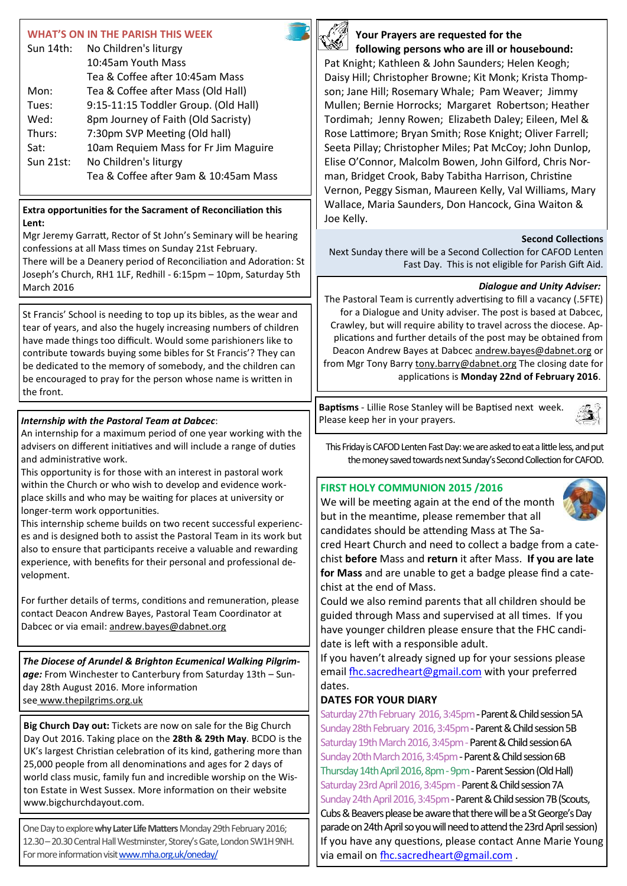## **WHAT'S ON IN THE PARISH THIS WEEK**

| Sun 14th: | No Children's liturgy                 |  |
|-----------|---------------------------------------|--|
|           | 10:45am Youth Mass                    |  |
|           | Tea & Coffee after 10:45am Mass       |  |
| Mon:      | Tea & Coffee after Mass (Old Hall)    |  |
| Tues:     | 9:15-11:15 Toddler Group. (Old Hall)  |  |
| Wed:      | 8pm Journey of Faith (Old Sacristy)   |  |
| Thurs:    | 7:30pm SVP Meeting (Old hall)         |  |
| Sat:      | 10am Requiem Mass for Fr Jim Maguire  |  |
| Sun 21st: | No Children's liturgy                 |  |
|           | Tea & Coffee after 9am & 10:45am Mass |  |

#### **Extra opportunities for the Sacrament of Reconciliation this Lent:**

Mgr Jeremy Garratt, Rector of St John's Seminary will be hearing confessions at all Mass times on Sunday 21st February. There will be a Deanery period of Reconciliation and Adoration: St Joseph's Church, RH1 1LF, Redhill - 6:15pm – 10pm, Saturday 5th March 2016

St Francis' School is needing to top up its bibles, as the wear and tear of years, and also the hugely increasing numbers of children have made things too difficult. Would some parishioners like to contribute towards buying some bibles for St Francis'? They can be dedicated to the memory of somebody, and the children can be encouraged to pray for the person whose name is written in the front.

## *Internship with the Pastoral Team at Dabcec*:

An internship for a maximum period of one year working with the advisers on different initiatives and will include a range of duties and administrative work.

This opportunity is for those with an interest in pastoral work within the Church or who wish to develop and evidence workplace skills and who may be waiting for places at university or longer-term work opportunities.

This internship scheme builds on two recent successful experiences and is designed both to assist the Pastoral Team in its work but also to ensure that participants receive a valuable and rewarding experience, with benefits for their personal and professional development.

For further details of terms, conditions and remuneration, please contact Deacon Andrew Bayes, Pastoral Team Coordinator at Dabcec or via email: [andrew.bayes@dabnet.org](mailto:andrew.bayes@dabnet.org?subject=Pastoral%20Team%20Internship)

*The Diocese of Arundel & Brighton Ecumenical Walking Pilgrimage:* From Winchester to Canterbury from Saturday 13th – Sunday 28th August 2016. More information see [www.thepilgrims.org.uk](http://x4io.mj.am/link/x4io/y6wnz96wxj4/11/k-8tt-E5jYg_EKOv4Tj27g/aHR0cDovL3d3dy50aGVwaWxncmltcy5vcmcudWs)

**Big Church Day out:** Tickets are now on sale for the Big Church Day Out 2016. Taking place on the **28th & 29th May**. BCDO is the UK's largest Christian celebration of its kind, gathering more than 25,000 people from all denominations and ages for 2 days of world class music, family fun and incredible worship on the Wiston Estate in West Sussex. More information on their website www.bigchurchdayout.com.

One Day to explore**why Later Life Matters**Monday 29th February 2016; 12.30 –20.30 Central Hall Westminster, Storey's Gate, London SW1H 9NH. For more information visit [www.mha.org.uk/oneday/](http://x4io.mj.am/link/x4io/y6wnz96wxj4/20/fTwX4W8AZ74U7mDXMvG-HA/aHR0cDovL3d3dy5taGEub3JnLnVrL29uZWRheS8)



## **Your Prayers are requested for the following persons who are ill or housebound:**

Pat Knight; Kathleen & John Saunders; Helen Keogh; Daisy Hill; Christopher Browne; Kit Monk; Krista Thompson; Jane Hill; Rosemary Whale; Pam Weaver; Jimmy Mullen; Bernie Horrocks; Margaret Robertson; Heather Tordimah; Jenny Rowen; Elizabeth Daley; Eileen, Mel & Rose Lattimore; Bryan Smith; Rose Knight; Oliver Farrell; Seeta Pillay; Christopher Miles; Pat McCoy; John Dunlop, Elise O'Connor, Malcolm Bowen, John Gilford, Chris Norman, Bridget Crook, Baby Tabitha Harrison, Christine Vernon, Peggy Sisman, Maureen Kelly, Val Williams, Mary Wallace, Maria Saunders, Don Hancock, Gina Waiton & Joe Kelly.

#### **Second Collections**

Next Sunday there will be a Second Collection for CAFOD Lenten Fast Day. This is not eligible for Parish Gift Aid.

#### *Dialogue and Unity Adviser:*

The Pastoral Team is currently advertising to fill a vacancy (.5FTE) for a Dialogue and Unity adviser. The post is based at Dabcec, Crawley, but will require ability to travel across the diocese. Applications and further details of the post may be obtained from Deacon Andrew Bayes at Dabcec [andrew.bayes@dabnet.org](mailto:andrew.bayes@dabnet.org?subject=Dialogue%20and%20Unity%20Adviser) or from Mgr Tony Barry [tony.barry@dabnet.org](mailto:tony.barry@dabnet.org?subject=Dialogue%20and%20Unity%20Adviser) The closing date for applications is **Monday 22nd of February 2016**.

**Baptisms** - Lillie Rose Stanley will be Baptised next week. Please keep her in your prayers.

This Friday is CAFOD Lenten Fast Day: we are asked to eat a little less, and put the money saved towards next Sunday's Second Collection for CAFOD.

#### **FIRST HOLY COMMUNION 2015 /2016**

We will be meeting again at the end of the month but in the meantime, please remember that all candidates should be attending Mass at The Sa-



Ĵ

cred Heart Church and need to collect a badge from a catechist **before** Mass and **return** it after Mass. **If you are late for Mass** and are unable to get a badge please find a catechist at the end of Mass.

Could we also remind parents that all children should be guided through Mass and supervised at all times. If you have younger children please ensure that the FHC candidate is left with a responsible adult.

If you haven't already signed up for your sessions please email [fhc.sacredheart@gmail.com](mailto:fhc.sacredheart@gmail.com) with your preferred dates.

## **DATES FOR YOUR DIARY**

Saturday 27th February 2016, 3:45pm - Parent & Child session 5A Sunday 28th February 2016, 3:45pm - Parent & Child session 5B Saturday 19th March 2016, 3:45pm - Parent & Child session 6A Sunday 20th March 2016, 3:45pm - Parent & Child session 6B Thursday 14th April 2016, 8pm - 9pm - Parent Session (Old Hall) Saturday 23rd April 2016, 3:45pm - Parent & Child session 7A Sunday 24th April 2016, 3:45pm - Parent & Child session 7B (Scouts, Cubs & Beavers please be aware that there will be a St George's Day parade on 24th April so you will need to attend the 23rd April session) If you have any questions, please contact Anne Marie Young via email on [fhc.sacredheart@gmail.com](mailto:fhc.sacredheart@gmail.com) .